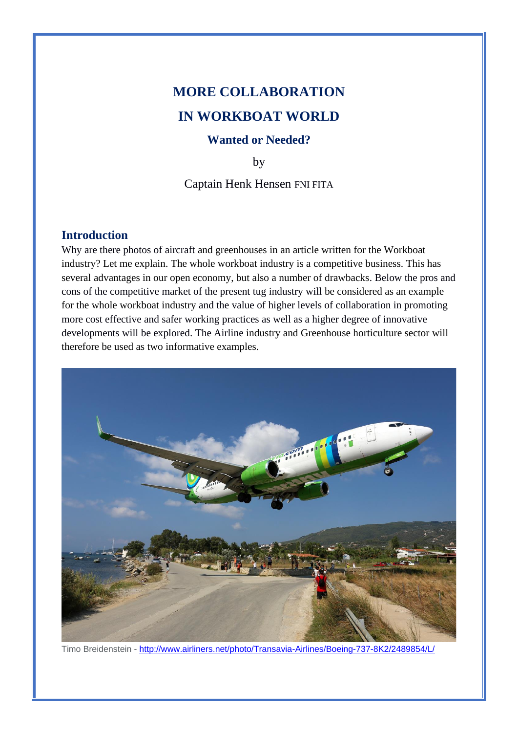# **MORE COLLABORATION IN WORKBOAT WORLD**

## **Wanted or Needed?**

by

Captain Henk Hensen FNI FITA

# **Introduction**

Why are there photos of aircraft and greenhouses in an article written for the Workboat industry? Let me explain. The whole workboat industry is a competitive business. This has several advantages in our open economy, but also a number of drawbacks. Below the pros and cons of the competitive market of the present tug industry will be considered as an example for the whole workboat industry and the value of higher levels of collaboration in promoting more cost effective and safer working practices as well as a higher degree of innovative developments will be explored. The Airline industry and Greenhouse horticulture sector will therefore be used as two informative examples.



Timo Breidenstein - <http://www.airliners.net/photo/Transavia-Airlines/Boeing-737-8K2/2489854/L/>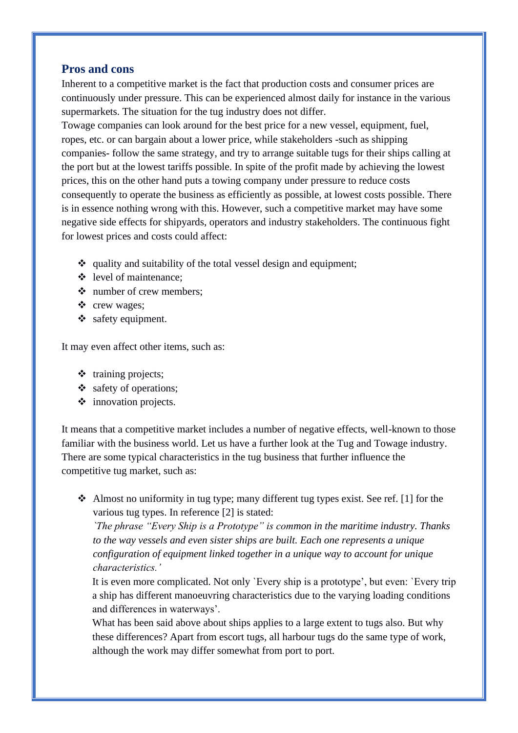### **Pros and cons**

Inherent to a competitive market is the fact that production costs and consumer prices are continuously under pressure. This can be experienced almost daily for instance in the various supermarkets. The situation for the tug industry does not differ.

Towage companies can look around for the best price for a new vessel, equipment, fuel, ropes, etc. or can bargain about a lower price, while stakeholders -such as shipping companies- follow the same strategy, and try to arrange suitable tugs for their ships calling at the port but at the lowest tariffs possible. In spite of the profit made by achieving the lowest prices, this on the other hand puts a towing company under pressure to reduce costs consequently to operate the business as efficiently as possible, at lowest costs possible. There is in essence nothing wrong with this. However, such a competitive market may have some negative side effects for shipyards, operators and industry stakeholders. The continuous fight for lowest prices and costs could affect:

- ❖ quality and suitability of the total vessel design and equipment;
- ❖ level of maintenance;
- ❖ number of crew members;
- ❖ crew wages;
- ❖ safety equipment.

It may even affect other items, such as:

- ❖ training projects;
- ❖ safety of operations;
- ❖ innovation projects.

It means that a competitive market includes a number of negative effects, well-known to those familiar with the business world. Let us have a further look at the Tug and Towage industry. There are some typical characteristics in the tug business that further influence the competitive tug market, such as:

 $\triangleleft$  Almost no uniformity in tug type; many different tug types exist. See ref. [1] for the various tug types. In reference [2] is stated:

*`The phrase "Every Ship is a Prototype" is common in the maritime industry. Thanks to the way vessels and even sister ships are built. Each one represents a unique configuration of equipment linked together in a unique way to account for unique characteristics.'* 

It is even more complicated. Not only `Every ship is a prototype', but even: `Every trip a ship has different manoeuvring characteristics due to the varying loading conditions and differences in waterways'.

What has been said above about ships applies to a large extent to tugs also. But why these differences? Apart from escort tugs, all harbour tugs do the same type of work, although the work may differ somewhat from port to port.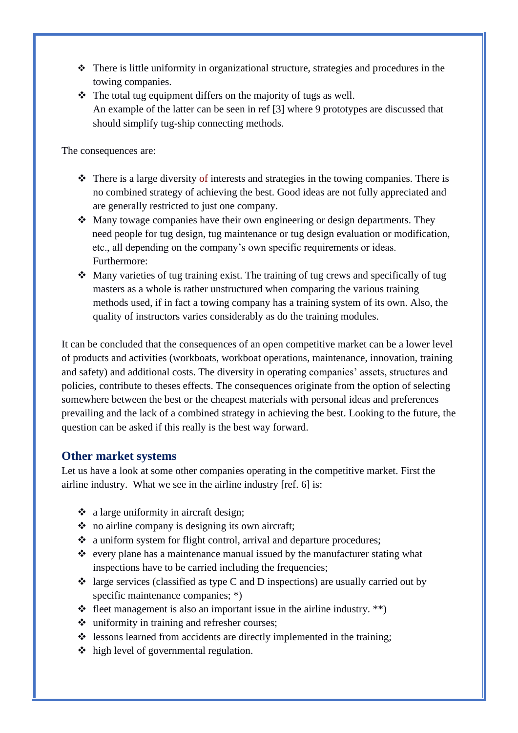- ❖ There is little uniformity in organizational structure, strategies and procedures in the towing companies.
- ❖ The total tug equipment differs on the majority of tugs as well. An example of the latter can be seen in ref [3] where 9 prototypes are discussed that should simplify tug-ship connecting methods.

The consequences are:

- $\triangle$  There is a large diversity of interests and strategies in the towing companies. There is no combined strategy of achieving the best. Good ideas are not fully appreciated and are generally restricted to just one company.
- ❖ Many towage companies have their own engineering or design departments. They need people for tug design, tug maintenance or tug design evaluation or modification, etc., all depending on the company's own specific requirements or ideas. Furthermore:
- ❖ Many varieties of tug training exist. The training of tug crews and specifically of tug masters as a whole is rather unstructured when comparing the various training methods used, if in fact a towing company has a training system of its own. Also, the quality of instructors varies considerably as do the training modules.

It can be concluded that the consequences of an open competitive market can be a lower level of products and activities (workboats, workboat operations, maintenance, innovation, training and safety) and additional costs. The diversity in operating companies' assets, structures and policies, contribute to theses effects. The consequences originate from the option of selecting somewhere between the best or the cheapest materials with personal ideas and preferences prevailing and the lack of a combined strategy in achieving the best. Looking to the future, the question can be asked if this really is the best way forward.

## **Other market systems**

Let us have a look at some other companies operating in the competitive market. First the airline industry. What we see in the airline industry [ref. 6] is:

- $\triangleleft$  a large uniformity in aircraft design:
- ❖ no airline company is designing its own aircraft;
- ❖ a uniform system for flight control, arrival and departure procedures;
- ❖ every plane has a maintenance manual issued by the manufacturer stating what inspections have to be carried including the frequencies;
- $\triangleleft$  large services (classified as type C and D inspections) are usually carried out by specific maintenance companies: \*)
- $\triangleleft$  fleet management is also an important issue in the airline industry. \*\*)
- ❖ uniformity in training and refresher courses;
- ❖ lessons learned from accidents are directly implemented in the training;
- ❖ high level of governmental regulation.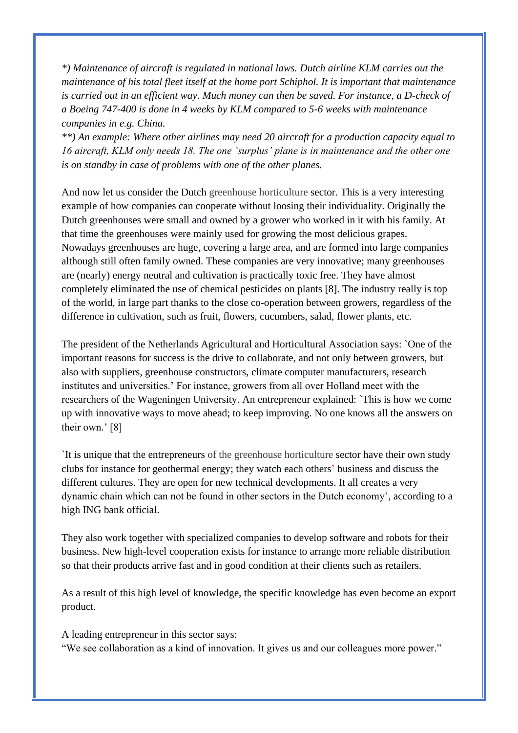*\*) Maintenance of aircraft is regulated in national laws. Dutch airline KLM carries out the maintenance of his total fleet itself at the home port Schiphol. It is important that maintenance is carried out in an efficient way. Much money can then be saved. For instance, a D-check of a Boeing 747-400 is done in 4 weeks by KLM compared to 5-6 weeks with maintenance companies in e.g. China.* 

*\*\*) An example: Where other airlines may need 20 aircraft for a production capacity equal to 16 aircraft, KLM only needs 18. The one `surplus' plane is in maintenance and the other one is on standby in case of problems with one of the other planes.* 

And now let us consider the Dutch greenhouse horticulture sector. This is a very interesting example of how companies can cooperate without loosing their individuality. Originally the Dutch greenhouses were small and owned by a grower who worked in it with his family. At that time the greenhouses were mainly used for growing the most delicious grapes. Nowadays greenhouses are huge, covering a large area, and are formed into large companies although still often family owned. These companies are very innovative; many greenhouses are (nearly) energy neutral and cultivation is practically toxic free. They have almost completely eliminated the use of chemical pesticides on plants [8]. The industry really is top of the world, in large part thanks to the close co-operation between growers, regardless of the difference in cultivation, such as fruit, flowers, cucumbers, salad, flower plants, etc.

The president of the Netherlands Agricultural and Horticultural Association says: `One of the important reasons for success is the drive to collaborate, and not only between growers, but also with suppliers, greenhouse constructors, climate computer manufacturers, research institutes and universities.' For instance, growers from all over Holland meet with the researchers of the Wageningen University. An entrepreneur explained: `This is how we come up with innovative ways to move ahead; to keep improving. No one knows all the answers on their own.' [8]

`It is unique that the entrepreneurs of the greenhouse horticulture sector have their own study clubs for instance for geothermal energy; they watch each others' business and discuss the different cultures. They are open for new technical developments. It all creates a very dynamic chain which can not be found in other sectors in the Dutch economy', according to a high ING bank official.

They also work together with specialized companies to develop software and robots for their business. New high-level cooperation exists for instance to arrange more reliable distribution so that their products arrive fast and in good condition at their clients such as retailers.

As a result of this high level of knowledge, the specific knowledge has even become an export product.

A leading entrepreneur in this sector says: "We see collaboration as a kind of innovation. It gives us and our colleagues more power."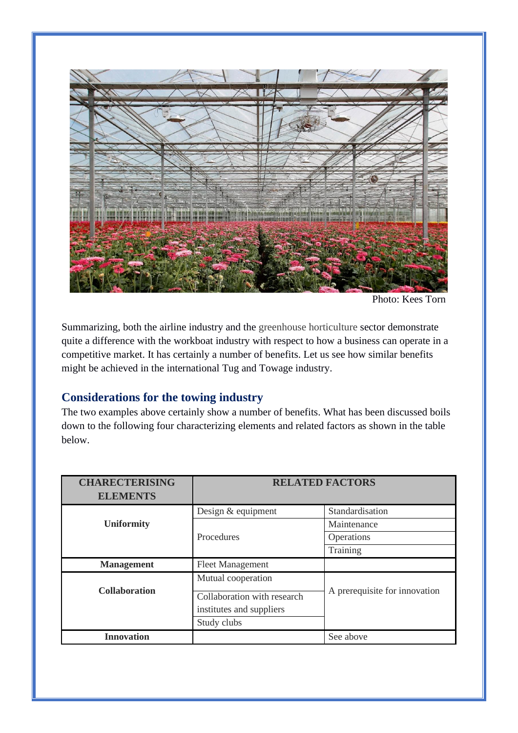

Photo: Kees Torn

Summarizing, both the airline industry and the greenhouse horticulture sector demonstrate quite a difference with the workboat industry with respect to how a business can operate in a competitive market. It has certainly a number of benefits. Let us see how similar benefits might be achieved in the international Tug and Towage industry.

# **Considerations for the towing industry**

The two examples above certainly show a number of benefits. What has been discussed boils down to the following four characterizing elements and related factors as shown in the table below.

| <b>CHARECTERISING</b> | <b>RELATED FACTORS</b>                                                 |                               |
|-----------------------|------------------------------------------------------------------------|-------------------------------|
| <b>ELEMENTS</b>       |                                                                        |                               |
|                       | Design & equipment                                                     | Standardisation               |
| <b>Uniformity</b>     |                                                                        | Maintenance                   |
|                       | Procedures                                                             | Operations                    |
|                       |                                                                        | Training                      |
| <b>Management</b>     | <b>Fleet Management</b>                                                |                               |
|                       | Mutual cooperation                                                     |                               |
| <b>Collaboration</b>  | Collaboration with research<br>institutes and suppliers<br>Study clubs | A prerequisite for innovation |
| <b>Innovation</b>     |                                                                        | See above                     |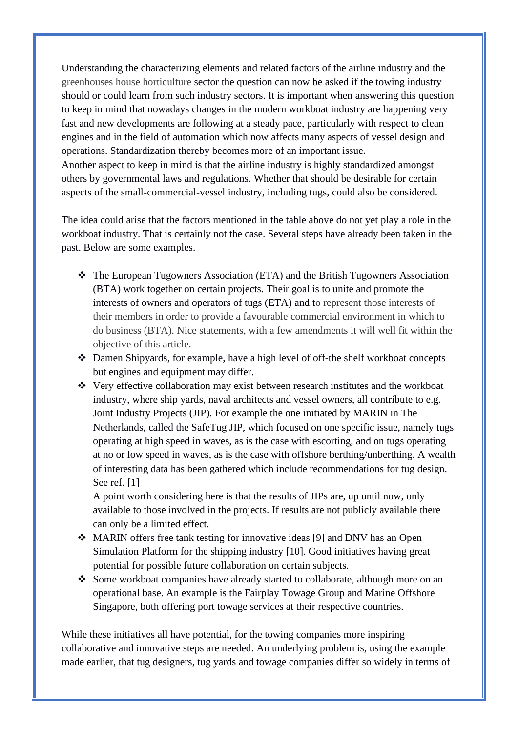Understanding the characterizing elements and related factors of the airline industry and the greenhouses house horticulture sector the question can now be asked if the towing industry should or could learn from such industry sectors. It is important when answering this question to keep in mind that nowadays changes in the modern workboat industry are happening very fast and new developments are following at a steady pace, particularly with respect to clean engines and in the field of automation which now affects many aspects of vessel design and operations. Standardization thereby becomes more of an important issue. Another aspect to keep in mind is that the airline industry is highly standardized amongst others by governmental laws and regulations. Whether that should be desirable for certain aspects of the small-commercial-vessel industry, including tugs, could also be considered.

The idea could arise that the factors mentioned in the table above do not yet play a role in the workboat industry. That is certainly not the case. Several steps have already been taken in the past. Below are some examples.

- ❖ The European Tugowners Association (ETA) and the British Tugowners Association (BTA) work together on certain projects. Their goal is to unite and promote the interests of owners and operators of tugs (ETA) and to represent those interests of their members in order to provide a favourable commercial environment in which to do business (BTA). Nice statements, with a few amendments it will well fit within the objective of this article.
- ❖ Damen Shipyards, for example, have a high level of off-the shelf workboat concepts but engines and equipment may differ.
- ❖ Very effective collaboration may exist between research institutes and the workboat industry, where ship yards, naval architects and vessel owners, all contribute to e.g. Joint Industry Projects (JIP). For example the one initiated by MARIN in The Netherlands, called the SafeTug JIP, which focused on one specific issue, namely tugs operating at high speed in waves, as is the case with escorting, and on tugs operating at no or low speed in waves, as is the case with offshore berthing/unberthing. A wealth of interesting data has been gathered which include recommendations for tug design. See ref. [1]

A point worth considering here is that the results of JIPs are, up until now, only available to those involved in the projects. If results are not publicly available there can only be a limited effect.

- ❖ MARIN offers free tank testing for innovative ideas [9] and DNV has an Open Simulation Platform for the shipping industry [10]. Good initiatives having great potential for possible future collaboration on certain subjects.
- ❖ Some workboat companies have already started to collaborate, although more on an operational base. An example is the Fairplay Towage Group and Marine Offshore Singapore, both offering port towage services at their respective countries.

While these initiatives all have potential, for the towing companies more inspiring collaborative and innovative steps are needed. An underlying problem is, using the example made earlier, that tug designers, tug yards and towage companies differ so widely in terms of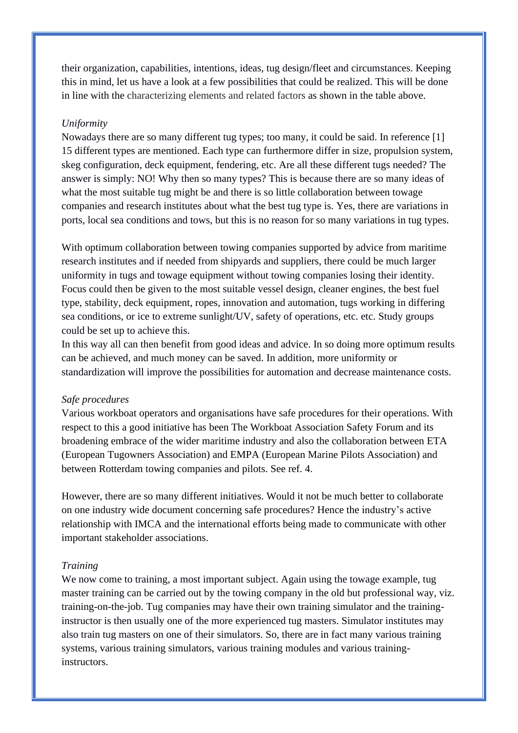their organization, capabilities, intentions, ideas, tug design/fleet and circumstances. Keeping this in mind, let us have a look at a few possibilities that could be realized. This will be done in line with the characterizing elements and related factors as shown in the table above.

#### *Uniformity*

Nowadays there are so many different tug types; too many, it could be said. In reference [1] 15 different types are mentioned. Each type can furthermore differ in size, propulsion system, skeg configuration, deck equipment, fendering, etc. Are all these different tugs needed? The answer is simply: NO! Why then so many types? This is because there are so many ideas of what the most suitable tug might be and there is so little collaboration between towage companies and research institutes about what the best tug type is. Yes, there are variations in ports, local sea conditions and tows, but this is no reason for so many variations in tug types.

With optimum collaboration between towing companies supported by advice from maritime research institutes and if needed from shipyards and suppliers, there could be much larger uniformity in tugs and towage equipment without towing companies losing their identity. Focus could then be given to the most suitable vessel design, cleaner engines, the best fuel type, stability, deck equipment, ropes, innovation and automation, tugs working in differing sea conditions, or ice to extreme sunlight/UV, safety of operations, etc. etc. Study groups could be set up to achieve this.

In this way all can then benefit from good ideas and advice. In so doing more optimum results can be achieved, and much money can be saved. In addition, more uniformity or standardization will improve the possibilities for automation and decrease maintenance costs.

#### *Safe procedures*

Various workboat operators and organisations have safe procedures for their operations. With respect to this a good initiative has been The Workboat Association Safety Forum and its broadening embrace of the wider maritime industry and also the collaboration between ETA (European Tugowners Association) and EMPA (European Marine Pilots Association) and between Rotterdam towing companies and pilots. See ref. 4.

However, there are so many different initiatives. Would it not be much better to collaborate on one industry wide document concerning safe procedures? Hence the industry's active relationship with IMCA and the international efforts being made to communicate with other important stakeholder associations.

#### *Training*

We now come to training, a most important subject. Again using the towage example, tug master training can be carried out by the towing company in the old but professional way, viz. training-on-the-job. Tug companies may have their own training simulator and the traininginstructor is then usually one of the more experienced tug masters. Simulator institutes may also train tug masters on one of their simulators. So, there are in fact many various training systems, various training simulators, various training modules and various traininginstructors.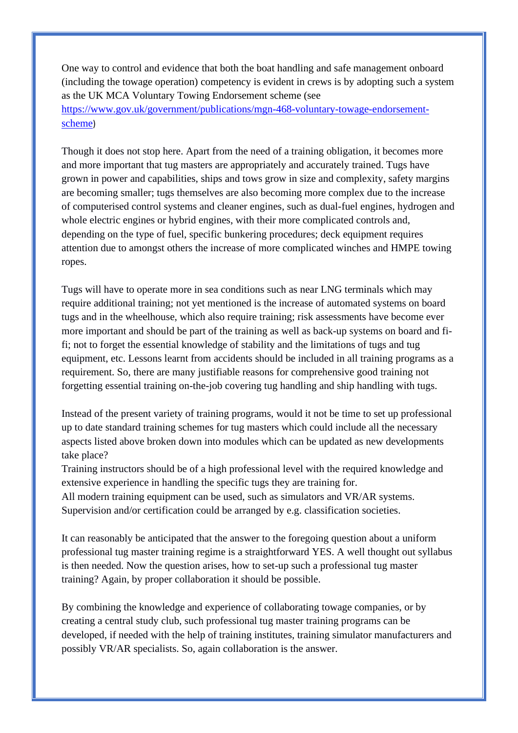One way to control and evidence that both the boat handling and safe management onboard (including the towage operation) competency is evident in crews is by adopting such a system as the UK MCA Voluntary Towing Endorsement scheme (see [https://www.gov.uk/government/publications/mgn-468-voluntary-towage-endorsement](https://www.gov.uk/government/publications/mgn-468-voluntary-towage-endorsement-scheme)[scheme](https://www.gov.uk/government/publications/mgn-468-voluntary-towage-endorsement-scheme))

Though it does not stop here. Apart from the need of a training obligation, it becomes more and more important that tug masters are appropriately and accurately trained. Tugs have grown in power and capabilities, ships and tows grow in size and complexity, safety margins are becoming smaller; tugs themselves are also becoming more complex due to the increase of computerised control systems and cleaner engines, such as dual-fuel engines, hydrogen and whole electric engines or hybrid engines, with their more complicated controls and, depending on the type of fuel, specific bunkering procedures; deck equipment requires attention due to amongst others the increase of more complicated winches and HMPE towing ropes.

Tugs will have to operate more in sea conditions such as near LNG terminals which may require additional training; not yet mentioned is the increase of automated systems on board tugs and in the wheelhouse, which also require training; risk assessments have become ever more important and should be part of the training as well as back-up systems on board and fifi; not to forget the essential knowledge of stability and the limitations of tugs and tug equipment, etc. Lessons learnt from accidents should be included in all training programs as a requirement. So, there are many justifiable reasons for comprehensive good training not forgetting essential training on-the-job covering tug handling and ship handling with tugs.

Instead of the present variety of training programs, would it not be time to set up professional up to date standard training schemes for tug masters which could include all the necessary aspects listed above broken down into modules which can be updated as new developments take place?

Training instructors should be of a high professional level with the required knowledge and extensive experience in handling the specific tugs they are training for.

All modern training equipment can be used, such as simulators and VR/AR systems. Supervision and/or certification could be arranged by e.g. classification societies.

It can reasonably be anticipated that the answer to the foregoing question about a uniform professional tug master training regime is a straightforward YES. A well thought out syllabus is then needed. Now the question arises, how to set-up such a professional tug master training? Again, by proper collaboration it should be possible.

By combining the knowledge and experience of collaborating towage companies, or by creating a central study club, such professional tug master training programs can be developed, if needed with the help of training institutes, training simulator manufacturers and possibly VR/AR specialists. So, again collaboration is the answer.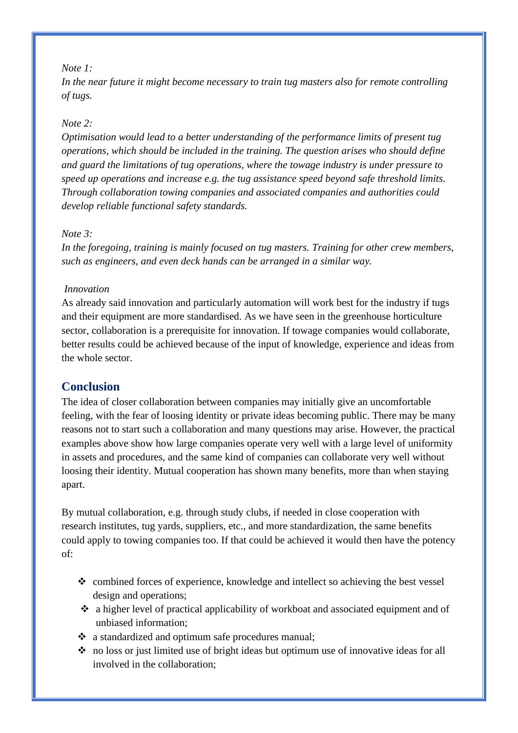#### *Note 1:*

*In the near future it might become necessary to train tug masters also for remote controlling of tugs.*

#### *Note 2:*

*Optimisation would lead to a better understanding of the performance limits of present tug operations, which should be included in the training. The question arises who should define and guard the limitations of tug operations, where the towage industry is under pressure to speed up operations and increase e.g. the tug assistance speed beyond safe threshold limits. Through collaboration towing companies and associated companies and authorities could develop reliable functional safety standards.* 

#### *Note 3:*

*In the foregoing, training is mainly focused on tug masters. Training for other crew members, such as engineers, and even deck hands can be arranged in a similar way.*

#### *Innovation*

As already said innovation and particularly automation will work best for the industry if tugs and their equipment are more standardised. As we have seen in the greenhouse horticulture sector, collaboration is a prerequisite for innovation. If towage companies would collaborate, better results could be achieved because of the input of knowledge, experience and ideas from the whole sector.

## **Conclusion**

The idea of closer collaboration between companies may initially give an uncomfortable feeling, with the fear of loosing identity or private ideas becoming public. There may be many reasons not to start such a collaboration and many questions may arise. However, the practical examples above show how large companies operate very well with a large level of uniformity in assets and procedures, and the same kind of companies can collaborate very well without loosing their identity. Mutual cooperation has shown many benefits, more than when staying apart.

By mutual collaboration, e.g. through study clubs, if needed in close cooperation with research institutes, tug yards, suppliers, etc., and more standardization, the same benefits could apply to towing companies too. If that could be achieved it would then have the potency of:

- ❖ combined forces of experience, knowledge and intellect so achieving the best vessel design and operations;
- $\cdot \cdot$  a higher level of practical applicability of workboat and associated equipment and of unbiased information;
- ❖ a standardized and optimum safe procedures manual;
- ❖ no loss or just limited use of bright ideas but optimum use of innovative ideas for all involved in the collaboration;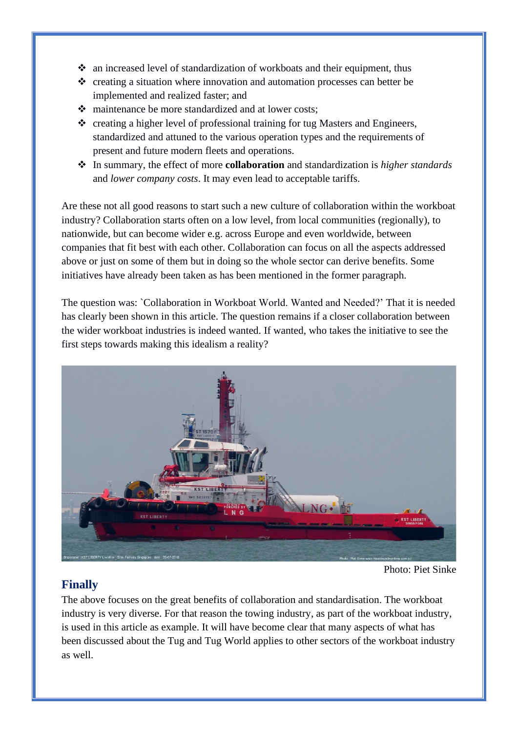- ❖ an increased level of standardization of workboats and their equipment, thus
- ❖ creating a situation where innovation and automation processes can better be implemented and realized faster; and
- ❖ maintenance be more standardized and at lower costs;
- ❖ creating a higher level of professional training for tug Masters and Engineers, standardized and attuned to the various operation types and the requirements of present and future modern fleets and operations.
- ❖ In summary, the effect of more **collaboration** and standardization is *higher standards*  and *lower company costs*. It may even lead to acceptable tariffs.

Are these not all good reasons to start such a new culture of collaboration within the workboat industry? Collaboration starts often on a low level, from local communities (regionally), to nationwide, but can become wider e.g. across Europe and even worldwide, between companies that fit best with each other. Collaboration can focus on all the aspects addressed above or just on some of them but in doing so the whole sector can derive benefits. Some initiatives have already been taken as has been mentioned in the former paragraph.

The question was: `Collaboration in Workboat World. Wanted and Needed?' That it is needed has clearly been shown in this article. The question remains if a closer collaboration between the wider workboat industries is indeed wanted. If wanted, who takes the initiative to see the first steps towards making this idealism a reality?



Photo: Piet Sinke

# **Finally**

The above focuses on the great benefits of collaboration and standardisation. The workboat industry is very diverse. For that reason the towing industry, as part of the workboat industry, is used in this article as example. It will have become clear that many aspects of what has been discussed about the Tug and Tug World applies to other sectors of the workboat industry as well.